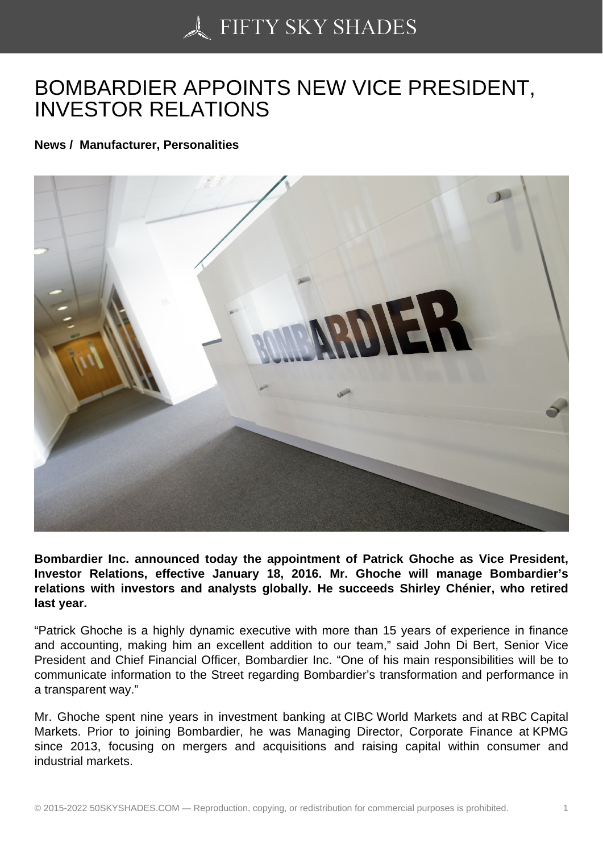## [BOMBARDIER APPOI](https://50skyshades.com)NTS NEW VICE PRESIDENT, INVESTOR RELATIONS

News / Manufacturer, Personalities

Bombardier Inc. announced today the appointment of Patrick Ghoche as Vice President, Investor Relations, effective January 18, 2016. Mr. Ghoche will manage Bombardier's relations with investors and analysts globally. He succeeds Shirley Chénier, who retired last year.

"Patrick Ghoche is a highly dynamic executive with more than 15 years of experience in finance and accounting, making him an excellent addition to our team," said John Di Bert, Senior Vice President and Chief Financial Officer, Bombardier Inc. "One of his main responsibilities will be to communicate information to the Street regarding Bombardier's transformation and performance in a transparent way."

Mr. Ghoche spent nine years in investment banking at CIBC World Markets and at RBC Capital Markets. Prior to joining Bombardier, he was Managing Director, Corporate Finance at KPMG since 2013, focusing on mergers and acquisitions and raising capital within consumer and industrial markets.